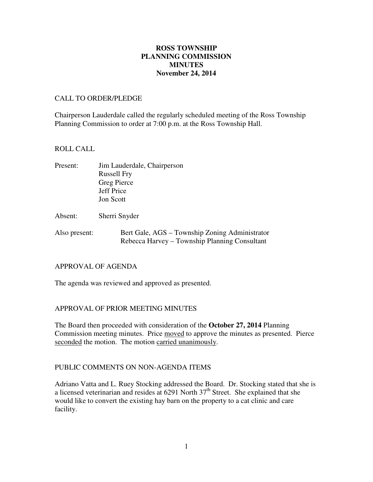## **November 24, 2014 ROSS TOWNSHIP PLANNING COMMISSION MINUTES**

### CALL TO ORDER/PLEDGE

 Chairperson Lauderdale called the regularly scheduled meeting of the Ross Township Planning Commission to order at 7:00 p.m. at the Ross Township Hall.

### ROLL CALL

| Present: | Jim Lauderdale, Chairperson |
|----------|-----------------------------|
|          | <b>Russell Fry</b>          |
|          | Greg Pierce                 |
|          | Jeff Price                  |
|          | <b>Jon Scott</b>            |
|          |                             |
| Absent:  | Sherri Snyder               |
|          |                             |

Also present: Bert Gale, AGS – Township Zoning Administrator Rebecca Harvey – Township Planning Consultant

#### APPROVAL OF AGENDA

The agenda was reviewed and approved as presented.

### APPROVAL OF PRIOR MEETING MINUTES

 The Board then proceeded with consideration of the **October 27, 2014** Planning Commission meeting minutes. Price moved to approve the minutes as presented. Pierce seconded the motion. The motion carried unanimously.

### PUBLIC COMMENTS ON NON-AGENDA ITEMS

 Adriano Vatta and L. Ruey Stocking addressed the Board. Dr. Stocking stated that she is a licensed veterinarian and resides at 6291 North 37<sup>th</sup> Street. She explained that she would like to convert the existing hay barn on the property to a cat clinic and care facility. facility.<br>1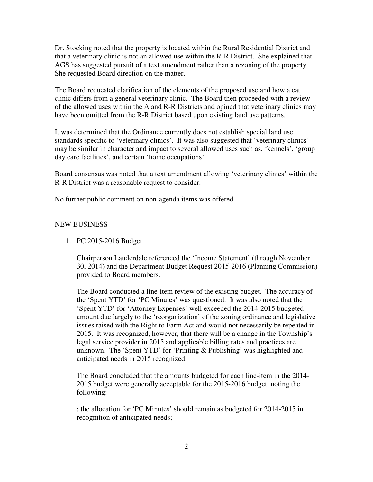Dr. Stocking noted that the property is located within the Rural Residential District and that a veterinary clinic is not an allowed use within the R-R District. She explained that AGS has suggested pursuit of a text amendment rather than a rezoning of the property. She requested Board direction on the matter.

 The Board requested clarification of the elements of the proposed use and how a cat clinic differs from a general veterinary clinic. The Board then proceeded with a review of the allowed uses within the A and R-R Districts and opined that veterinary clinics may have been omitted from the R-R District based upon existing land use patterns.

 It was determined that the Ordinance currently does not establish special land use standards specific to 'veterinary clinics'. It was also suggested that 'veterinary clinics' may be similar in character and impact to several allowed uses such as, 'kennels', 'group day care facilities', and certain 'home occupations'.

 Board consensus was noted that a text amendment allowing 'veterinary clinics' within the R-R District was a reasonable request to consider.

No further public comment on non-agenda items was offered.

# NEW BUSINESS

1. PC 2015-2016 Budget

 Chairperson Lauderdale referenced the 'Income Statement' (through November 30, 2014) and the Department Budget Request 2015-2016 (Planning Commission) provided to Board members.

 The Board conducted a line-item review of the existing budget. The accuracy of the 'Spent YTD' for 'PC Minutes' was questioned. It was also noted that the 'Spent YTD' for 'Attorney Expenses' well exceeded the 2014-2015 budgeted amount due largely to the 'reorganization' of the zoning ordinance and legislative issues raised with the Right to Farm Act and would not necessarily be repeated in 2015. It was recognized, however, that there will be a change in the Township's legal service provider in 2015 and applicable billing rates and practices are unknown. The 'Spent YTD' for 'Printing & Publishing' was highlighted and anticipated needs in 2015 recognized.

 The Board concluded that the amounts budgeted for each line-item in the 2014 2015 budget were generally acceptable for the 2015-2016 budget, noting the following:

 : the allocation for 'PC Minutes' should remain as budgeted for 2014-2015 in recognition of anticipated needs;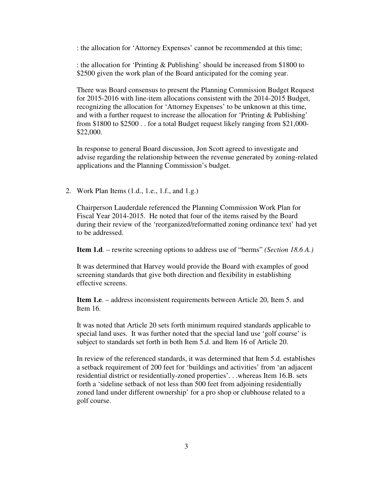: the allocation for 'Attorney Expenses' cannot be recommended at this time;

 : the allocation for 'Printing & Publishing' should be increased from \$1800 to \$2500 given the work plan of the Board anticipated for the coming year.

 There was Board consensus to present the Planning Commission Budget Request for 2015-2016 with line-item allocations consistent with the 2014-2015 Budget, recognizing the allocation for 'Attorney Expenses' to be unknown at this time, and with a further request to increase the allocation for 'Printing & Publishing' from \$1800 to \$2500 . . for a total Budget request likely ranging from \$21,000 \$22,000.

 In response to general Board discussion, Jon Scott agreed to investigate and advise regarding the relationship between the revenue generated by zoning-related applications and the Planning Commission's budget.

2. Work Plan Items (1.d., 1.e., 1.f., and 1.g.)

 Chairperson Lauderdale referenced the Planning Commission Work Plan for Fiscal Year 2014-2015. He noted that four of the items raised by the Board during their review of the 'reorganized/reformatted zoning ordinance text' had yet to be addressed.

**Item 1.d**. – rewrite screening options to address use of "berms" *(Section 18.6 A.)* 

 It was determined that Harvey would provide the Board with examples of good screening standards that give both direction and flexibility in establishing effective screens.

 **Item 1.e**. – address inconsistent requirements between Article 20, Item 5. and Item 16.

 It was noted that Article 20 sets forth minimum required standards applicable to special land uses. It was further noted that the special land use 'golf course' is subject to standards set forth in both Item 5.d. and Item 16 of Article 20.

 In review of the referenced standards, it was determined that Item 5.d. establishes a setback requirement of 200 feet for 'buildings and activities' from 'an adjacent residential district or residentially-zoned properties'. . .whereas Item 16.B. sets forth a 'sideline setback of not less than 500 feet from adjoining residentially zoned land under different ownership' for a pro shop or clubhouse related to a golf course.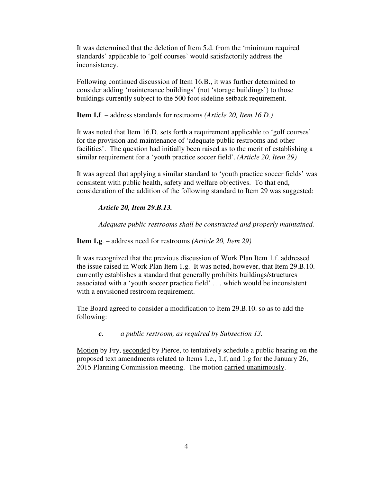It was determined that the deletion of Item 5.d. from the 'minimum required standards' applicable to 'golf courses' would satisfactorily address the inconsistency.

 Following continued discussion of Item 16.B., it was further determined to consider adding 'maintenance buildings' (not 'storage buildings') to those buildings currently subject to the 500 foot sideline setback requirement.

**Item 1.f**. – address standards for restrooms *(Article 20, Item 16.D.)* 

 It was noted that Item 16.D. sets forth a requirement applicable to 'golf courses' for the provision and maintenance of 'adequate public restrooms and other facilities'. The question had initially been raised as to the merit of establishing a similar requirement for a 'youth practice soccer field'. *(Article 20, Item 29)* 

 It was agreed that applying a similar standard to 'youth practice soccer fields' was consistent with public health, safety and welfare objectives. To that end, consideration of the addition of the following standard to Item 29 was suggested:

## *Article 20, Item 29.B.13.*

 *Adequate public restrooms shall be constructed and properly maintained.* 

**Item 1.g**. – address need for restrooms *(Article 20, Item 29)* 

 It was recognized that the previous discussion of Work Plan Item 1.f. addressed the issue raised in Work Plan Item 1.g. It was noted, however, that Item 29.B.10. currently establishes a standard that generally prohibits buildings/structures associated with a 'youth soccer practice field' . . . which would be inconsistent with a envisioned restroom requirement.

 The Board agreed to consider a modification to Item 29.B.10. so as to add the following:

*c. a public restroom, as required by Subsection 13.* 

Motion by Fry, seconded by Pierce, to tentatively schedule a public hearing on the proposed text amendments related to Items 1.e., 1.f, and 1.g for the January 26, 2015 Planning Commission meeting. The motion carried unanimously.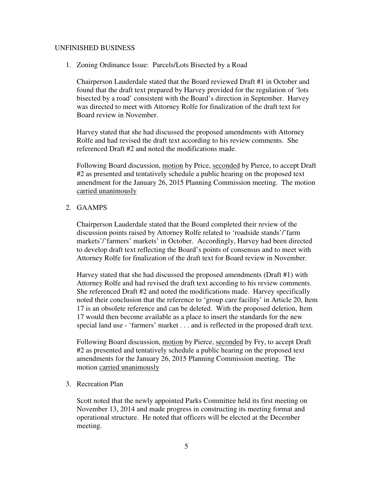## UNFINISHED BUSINESS

1. Zoning Ordinance Issue: Parcels/Lots Bisected by a Road

 Chairperson Lauderdale stated that the Board reviewed Draft #1 in October and found that the draft text prepared by Harvey provided for the regulation of 'lots bisected by a road' consistent with the Board's direction in September. Harvey was directed to meet with Attorney Rolfe for finalization of the draft text for Board review in November.

 Harvey stated that she had discussed the proposed amendments with Attorney Rolfe and had revised the draft text according to his review comments. She referenced Draft #2 and noted the modifications made.

Following Board discussion, motion by Price, seconded by Pierce, to accept Draft #2 as presented and tentatively schedule a public hearing on the proposed text amendment for the January 26, 2015 Planning Commission meeting. The motion carried unanimously

#### 2. GAAMPS

 Chairperson Lauderdale stated that the Board completed their review of the discussion points raised by Attorney Rolfe related to 'roadside stands'/'farm markets'/'farmers' markets' in October. Accordingly, Harvey had been directed to develop draft text reflecting the Board's points of consensus and to meet with Attorney Rolfe for finalization of the draft text for Board review in November.

 Harvey stated that she had discussed the proposed amendments (Draft #1) with Attorney Rolfe and had revised the draft text according to his review comments. She referenced Draft #2 and noted the modifications made. Harvey specifically noted their conclusion that the reference to 'group care facility' in Article 20, Item 17 is an obsolete reference and can be deleted. With the proposed deletion, Item 17 would then become available as a place to insert the standards for the new special land use - 'farmers' market . . . and is reflected in the proposed draft text.

Following Board discussion, motion by Pierce, seconded by Fry, to accept Draft #2 as presented and tentatively schedule a public hearing on the proposed text amendments for the January 26, 2015 Planning Commission meeting. The motion carried unanimously

3. Recreation Plan

 Scott noted that the newly appointed Parks Committee held its first meeting on November 13, 2014 and made progress in constructing its meeting format and operational structure. He noted that officers will be elected at the December meeting.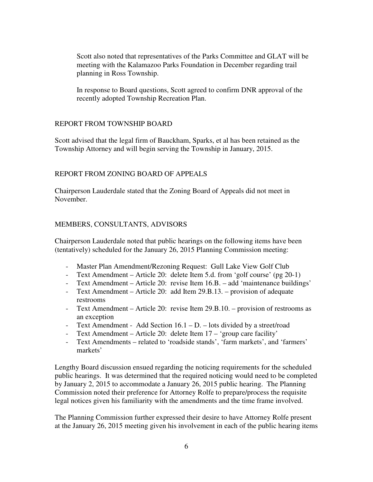Scott also noted that representatives of the Parks Committee and GLAT will be meeting with the Kalamazoo Parks Foundation in December regarding trail planning in Ross Township.

 In response to Board questions, Scott agreed to confirm DNR approval of the recently adopted Township Recreation Plan.

## REPORT FROM TOWNSHIP BOARD

 Scott advised that the legal firm of Bauckham, Sparks, et al has been retained as the Township Attorney and will begin serving the Township in January, 2015.

### REPORT FROM ZONING BOARD OF APPEALS

 Chairperson Lauderdale stated that the Zoning Board of Appeals did not meet in November.

#### MEMBERS, CONSULTANTS, ADVISORS

 Chairperson Lauderdale noted that public hearings on the following items have been (tentatively) scheduled for the January 26, 2015 Planning Commission meeting:

- Master Plan Amendment/Rezoning Request: Gull Lake View Golf Club
- Text Amendment Article 20: delete Item 5.d. from 'golf course' (pg 20-1)
- Text Amendment Article 20: revise Item 16.B. add 'maintenance buildings'
- - Text Amendment Article 20: add Item 29.B.13. provision of adequate restrooms
- - Text Amendment Article 20: revise Item 29.B.10. provision of restrooms as an exception
- Text Amendment Add Section 16.1 D. lots divided by a street/road
- Text Amendment Article 20: delete Item 17 'group care facility'
- - Text Amendments related to 'roadside stands', 'farm markets', and 'farmers' markets'

 Lengthy Board discussion ensued regarding the noticing requirements for the scheduled public hearings. It was determined that the required noticing would need to be completed by January 2, 2015 to accommodate a January 26, 2015 public hearing. The Planning Commission noted their preference for Attorney Rolfe to prepare/process the requisite legal notices given his familiarity with the amendments and the time frame involved.

 The Planning Commission further expressed their desire to have Attorney Rolfe present at the January 26, 2015 meeting given his involvement in each of the public hearing items